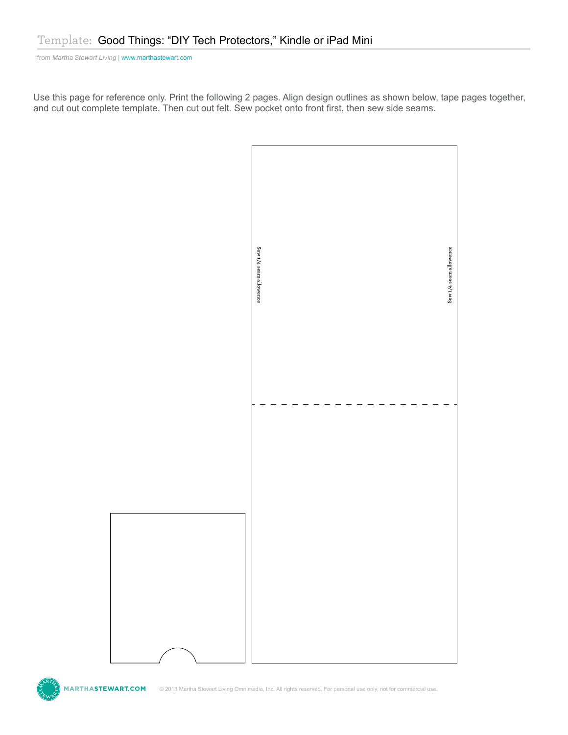from *Martha Stewart Living* [| www.marthastewart.com](http://www.marthastewartweddings.com)

Use this page for reference only. Print the following 2 pages. Align design outlines as shown below, tape pages together, and cut out complete template. Then cut out felt. Sew pocket onto front first, then sew side seams.



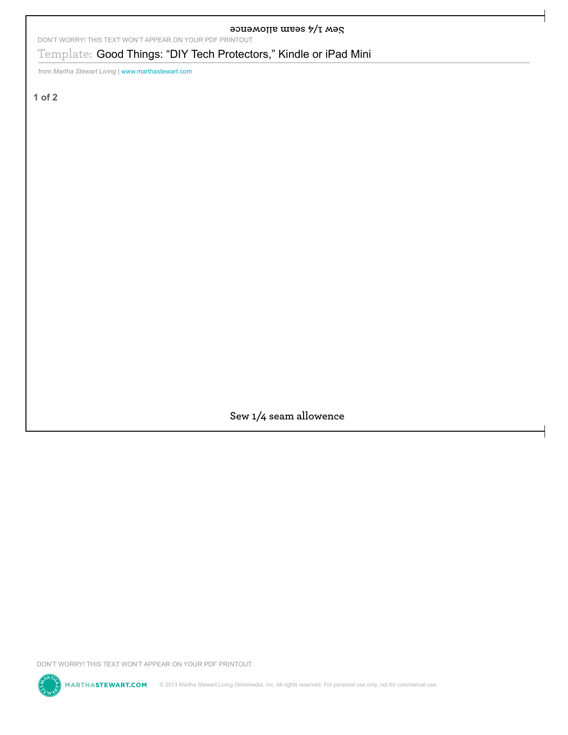**SOUB MORE WEBS 5/T WBS 100 ALL SEAR ARE SEXT WON'T APPEAR ON YOUR PDF PRINTOUT.** 

Template: **Good Things: "DIY Tech Protectors," Kindle or iPad Mini**<br>ten teams absent thing I awais that because come<br>of 2<br>**Sew 1/4 seem allowence**<br>Nort worker this TCN work APPCM on your or iPad The Template and the protec

from *Martha Stewart Living* | www.marthastewart.com

**1 of 2**

Sew 1/4 seam allowence